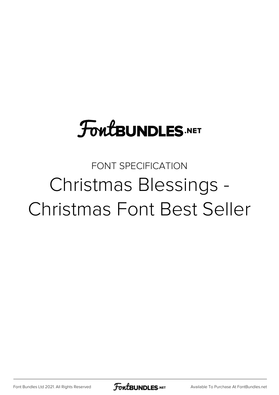### **FoutBUNDLES.NET**

#### FONT SPECIFICATION Christmas Blessings - Christmas Font Best Seller

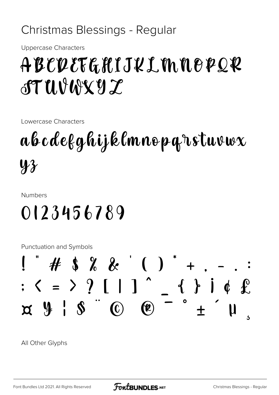#### Christmas Blessings - Regular

**Uppercase Characters** 

#### ABCDEFGHIJKLMNOPQR  $TUVWYYZ$

Lowercase Characters

### abcdefghijklmnoparstuvwx  $\mathbf{\Psi} \mathbf{\mathbf{\mathcal{X}}}$

**Numbers** 

#### 0123456789

**Punctuation and Symbols** 



All Other Glyphs

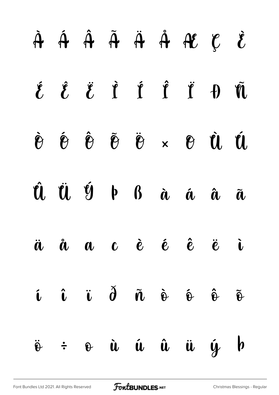# À Á Â Ã Ä Å Æ Ç È É Ê Ë Ì Í Î Ï Ð Ñ Ò Ó Ô Õ Ö × Ø Ù Ú Û Ü Ý Þ ß à á â ã ä å æ ç è é ê ë ì í î ï ð ñ ò ó ô õ ö ÷ ø ù ú û ü ý þ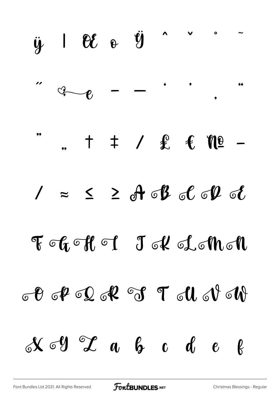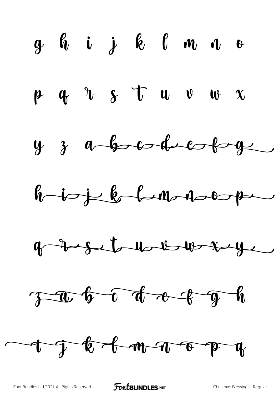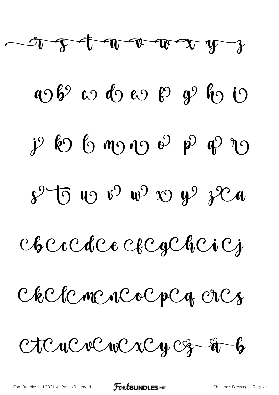

1069 w 10 w 19 g 10 i  $j^{\circ}$  60 6 m 0 0 0  $p^{\circ}$  p 0 0 0  $8^{\circ}$ 5 10  $^{\circ}$  10  $^{\circ}$  10  $^{\circ}$  10  $^{\circ}$  10  $^{\circ}$ 

Checcde et Cacheiej

Chelenencocpeq enes

CICUCVCWCXCyCz-à-b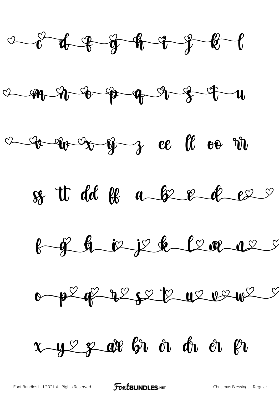











x y ex ar br à dr er pr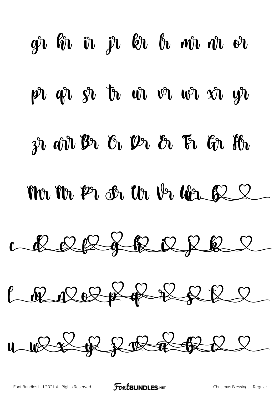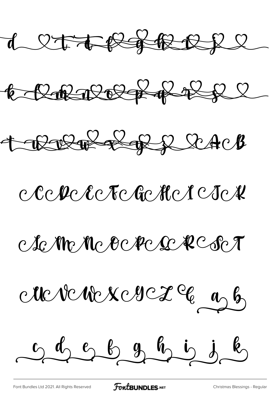d let træft træl



CREEB RACB

## CCCPC EC CECHCICICX

Ac Mr Nc Octec & R C Sc T

Me ve ne x e sse 2 % as b

0 9 9 8 9 9 9 6 6

[Font Bundles Ltd 2021. All Rights Reserved](https://fontbundles.net/) **FoutBUNDLES.NET** [Christmas Blessings - Regular](https://fontbundles.net/)